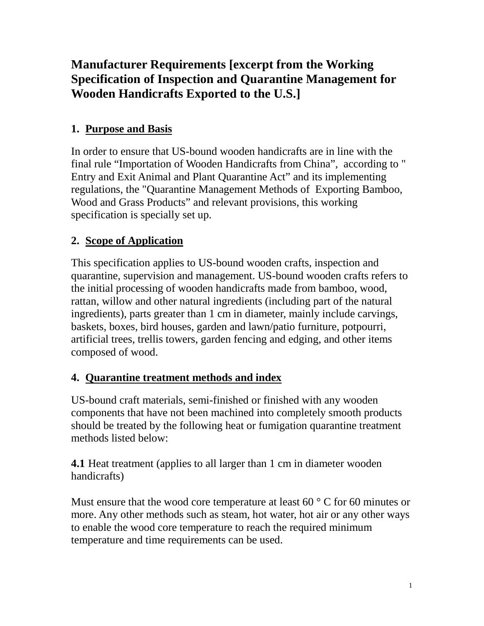# **Manufacturer Requirements [excerpt from the Working Specification of Inspection and Quarantine Management for Wooden Handicrafts Exported to the U.S.]**

## **1. Purpose and Basis**

In order to ensure that US-bound wooden handicrafts are in line with the final rule "Importation of Wooden Handicrafts from China", according to " Entry and Exit Animal and Plant Quarantine Act" and its implementing regulations, the "Quarantine Management Methods of Exporting Bamboo, Wood and Grass Products" and relevant provisions, this working specification is specially set up.

## **2. Scope of Application**

This specification applies to US-bound wooden crafts, inspection and quarantine, supervision and management. US-bound wooden crafts refers to the initial processing of wooden handicrafts made from bamboo, wood, rattan, willow and other natural ingredients (including part of the natural ingredients), parts greater than 1 cm in diameter, mainly include carvings, baskets, boxes, bird houses, garden and lawn/patio furniture, potpourri, artificial trees, trellis towers, garden fencing and edging, and other items composed of wood.

## **4. Quarantine treatment methods and index**

US-bound craft materials, semi-finished or finished with any wooden components that have not been machined into completely smooth products should be treated by the following heat or fumigation quarantine treatment methods listed below:

**4.1** Heat treatment (applies to all larger than 1 cm in diameter wooden handicrafts)

Must ensure that the wood core temperature at least  $60^{\circ}$  C for 60 minutes or more. Any other methods such as steam, hot water, hot air or any other ways to enable the wood core temperature to reach the required minimum temperature and time requirements can be used.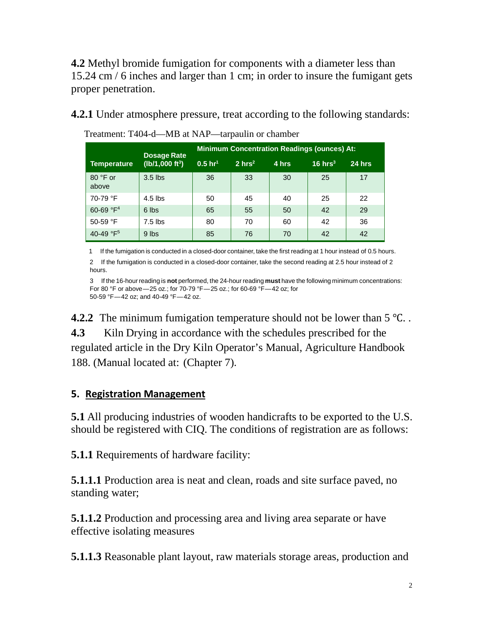**4.2** Methyl bromide fumigation for components with a diameter less than 15.24 cm / 6 inches and larger than 1 cm; in order to insure the fumigant gets proper penetration.

**4.2.1** Under atmosphere pressure, treat according to the following standards:

|                                    | Dosage Rate<br>( $Ib/1,000 \text{ ft}^3$ ) | <b>Minimum Concentration Readings (ounces) At:</b> |                   |       |           |        |
|------------------------------------|--------------------------------------------|----------------------------------------------------|-------------------|-------|-----------|--------|
| Temperature                        |                                            | $0.5 \; hr^1$                                      | $2 \text{ hrs}^2$ | 4 hrs | 16 $hrs3$ | 24 hrs |
| $80 °F$ or<br>above                | $3.5$ lbs                                  | 36                                                 | 33                | 30    | 25        | 17     |
| 70-79 °F                           | $4.5$ lbs                                  | 50                                                 | 45                | 40    | 25        | 22     |
| 60-69 °F <sup>4</sup>              | 6 lbs                                      | 65                                                 | 55                | 50    | 42        | 29     |
| 50-59 $\degree$ F                  | $7.5$ lbs                                  | 80                                                 | 70                | 60    | 42        | 36     |
| 40-49 $\textdegree$ F <sub>5</sub> | 9 lbs                                      | 85                                                 | 76                | 70    | 42        | 42     |

Treatment: T404-d—MB at NAP—tarpaulin or chamber

1 If the fumigation is conducted in a closed-door container, take the first reading at 1 hour instead of 0.5 hours. 2 If the fumigation is conducted in a closed-door container, take the second reading at 2.5 hour instead of 2 hours.

3 If the 16-hour reading is **not** performed, the 24-hour reading **must** have the following minimum concentrations: For 80 °F or above—25 oz.; for 70-79 °F—25 oz.; for 60-69 °F—42 oz; for 50-59 °F—42 oz; and 40-49 °F—42 oz.

**4.2.2** The minimum fumigation temperature should not be lower than 5 °C. . **4.3** Kiln Drying in accordance with the schedules prescribed for the regulated article in the Dry Kiln Operator's Manual, Agriculture Handbook 188. (Manual located at: (Chapter 7).

#### **5. Registration Management**

**5.1** All producing industries of wooden handicrafts to be exported to the U.S. should be registered with CIQ. The conditions of registration are as follows:

**5.1.1** Requirements of hardware facility:

**5.1.1.1** Production area is neat and clean, roads and site surface paved, no standing water;

**5.1.1.2** Production and processing area and living area separate or have effective isolating measures

**5.1.1.3** Reasonable plant layout, raw materials storage areas, production and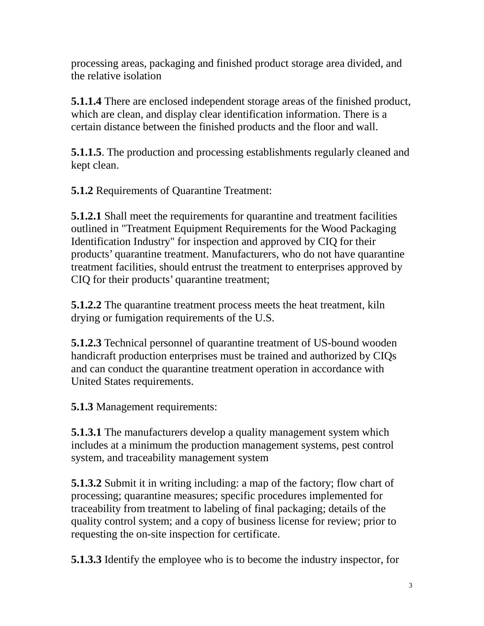processing areas, packaging and finished product storage area divided, and the relative isolation

**5.1.1.4** There are enclosed independent storage areas of the finished product, which are clean, and display clear identification information. There is a certain distance between the finished products and the floor and wall.

**5.1.1.5**. The production and processing establishments regularly cleaned and kept clean.

**5.1.2** Requirements of Quarantine Treatment:

**5.1.2.1** Shall meet the requirements for quarantine and treatment facilities outlined in "Treatment Equipment Requirements for the Wood Packaging Identification Industry" for inspection and approved by CIQ for their products' quarantine treatment. Manufacturers, who do not have quarantine treatment facilities, should entrust the treatment to enterprises approved by CIQ for their products' quarantine treatment;

**5.1.2.2** The quarantine treatment process meets the heat treatment, kiln drying or fumigation requirements of the U.S.

**5.1.2.3** Technical personnel of quarantine treatment of US-bound wooden handicraft production enterprises must be trained and authorized by CIQs and can conduct the quarantine treatment operation in accordance with United States requirements.

**5.1.3** Management requirements:

**5.1.3.1** The manufacturers develop a quality management system which includes at a minimum the production management systems, pest control system, and traceability management system

**5.1.3.2** Submit it in writing including: a map of the factory; flow chart of processing; quarantine measures; specific procedures implemented for traceability from treatment to labeling of final packaging; details of the quality control system; and a copy of business license for review; prior to requesting the on-site inspection for certificate.

**5.1.3.3** Identify the employee who is to become the industry inspector, for